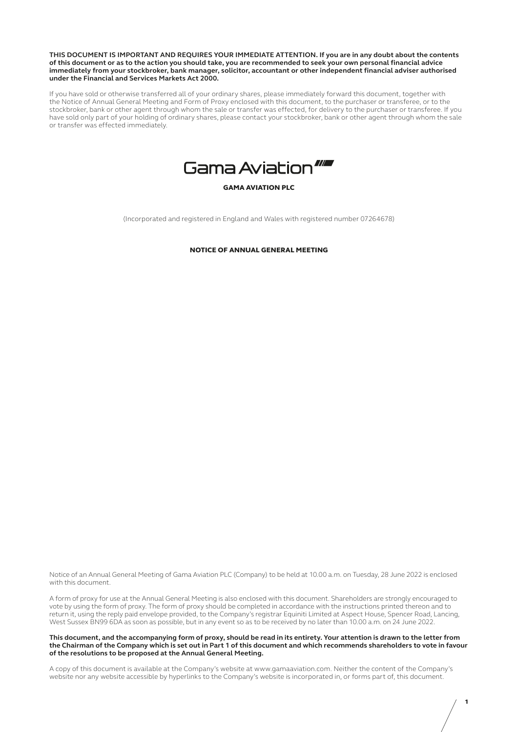**THIS DOCUMENT IS IMPORTANT AND REQUIRES YOUR IMMEDIATE ATTENTION. If you are in any doubt about the contents of this document or as to the action you should take, you are recommended to seek your own personal financial advice immediately from your stockbroker, bank manager, solicitor, accountant or other independent financial adviser authorised under the Financial and Services Markets Act 2000.**

If you have sold or otherwise transferred all of your ordinary shares, please immediately forward this document, together with the Notice of Annual General Meeting and Form of Proxy enclosed with this document, to the purchaser or transferee, or to the stockbroker, bank or other agent through whom the sale or transfer was effected, for delivery to the purchaser or transferee. If you have sold only part of your holding of ordinary shares, please contact your stockbroker, bank or other agent through whom the sale or transfer was effected immediately.



#### GAMA AVIATION PLC

(Incorporated and registered in England and Wales with registered number 07264678)

NOTICE OF ANNUAL GENERAL MEETING

Notice of an Annual General Meeting of Gama Aviation PLC (Company) to be held at 10.00 a.m. on Tuesday, 28 June 2022 is enclosed with this document.

A form of proxy for use at the Annual General Meeting is also enclosed with this document. Shareholders are strongly encouraged to vote by using the form of proxy. The form of proxy should be completed in accordance with the instructions printed thereon and to return it, using the reply paid envelope provided, to the Company's registrar Equiniti Limited at Aspect House, Spencer Road, Lancing, West Sussex BN99 6DA as soon as possible, but in any event so as to be received by no later than 10.00 a.m. on 24 June 2022.

**This document, and the accompanying form of proxy, should be read in its entirety. Your attention is drawn to the letter from the Chairman of the Company which is set out in Part 1 of this document and which recommends shareholders to vote in favour of the resolutions to be proposed at the Annual General Meeting.**

A copy of this document is available at the Company's website at www.gamaaviation.com. Neither the content of the Company's website nor any website accessible by hyperlinks to the Company's website is incorporated in, or forms part of, this document.

1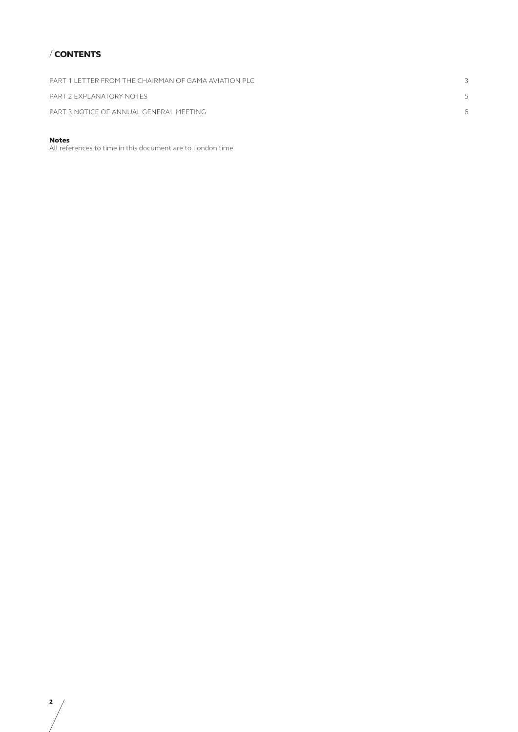# / CONTENTS

| PART 1 I FTTER FROM THE CHAIRMAN OF GAMA AVIATION PLC |  |
|-------------------------------------------------------|--|
| PART 2 FXPLANATORY NOTES                              |  |
| PART 3 NOTICE OF ANNUAL GENERAL MEETING               |  |

# Notes

All references to time in this document are to London time.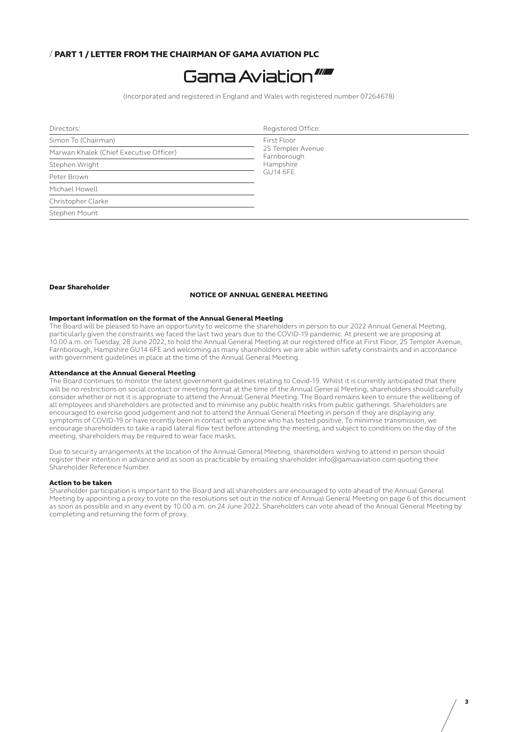# / PART 1 / LETTER FROM THE CHAIRMAN OF GAMA AVIATION PLC



(Incorporated and registered in England and Wales with registered number 07264678)

| Directors:                              | Registered Office:                                                              |  |
|-----------------------------------------|---------------------------------------------------------------------------------|--|
| Simon To (Chairman)                     | First Floor<br>25 Templer Avenue<br>Farnborough<br>Hampshire<br><b>GU14 6FE</b> |  |
| Marwan Khalek (Chief Executive Officer) |                                                                                 |  |
| Stephen Wright                          |                                                                                 |  |
| Peter Brown                             |                                                                                 |  |
| Michael Howell                          |                                                                                 |  |
| Christopher Clarke                      |                                                                                 |  |
| Stephen Mount                           |                                                                                 |  |
|                                         |                                                                                 |  |

#### Dear Shareholder

#### NOTICE OF ANNUAL GENERAL MEETING

### Important information on the format of the Annual General Meeting

The Board will be pleased to have an opportunity to welcome the shareholders in person to our 2022 Annual General Meeting, particularly given the constraints we faced the last two years due to the COVID-19 pandemic. At present we are proposing at 10.00 a.m. on Tuesday, 28 June 2022, to hold the Annual General Meeting at our registered office at First Floor, 25 Templer Avenue, Farnborough, Hampshire GU14 6FE and welcoming as many shareholders we are able within safety constraints and in accordance with government guidelines in place at the time of the Annual General Meeting.

#### Attendance at the Annual General Meeting

The Board continues to monitor the latest government guidelines relating to Covid-19. Whilst it is currently anticipated that there will be no restrictions on social contact or meeting format at the time of the Annual General Meeting, shareholders should carefully consider whether or not it is appropriate to attend the Annual General Meeting. The Board remains keen to ensure the wellbeing of all employees and shareholders are protected and to minimise any public health risks from public gatherings. Shareholders are encouraged to exercise good judgement and not to attend the Annual General Meeting in person if they are displaying any symptoms of COVID-19 or have recently been in contact with anyone who has tested positive. To minimise transmission, we encourage shareholders to take a rapid lateral flow test before attending the meeting, and subject to conditions on the day of the meeting, shareholders may be required to wear face masks.

Due to security arrangements at the location of the Annual General Meeting, shareholders wishing to attend in person should register their intention in advance and as soon as practicable by emailing shareholder.info@gamaaviation.com quoting their Shareholder Reference Number.

#### Action to be taken

Shareholder participation is important to the Board and all shareholders are encouraged to vote ahead of the Annual General Meeting by appointing a proxy to vote on the resolutions set out in the notice of Annual General Meeting on page 6 of this document as soon as possible and in any event by 10.00 a.m. on 24 June 2022. Shareholders can vote ahead of the Annual General Meeting by completing and returning the form of proxy.

3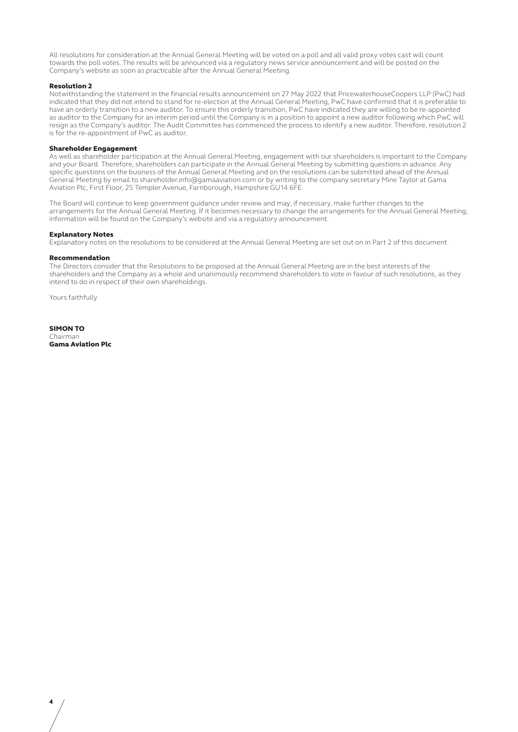All resolutions for consideration at the Annual General Meeting will be voted on a poll and all valid proxy votes cast will count towards the poll votes. The results will be announced via a regulatory news service announcement and will be posted on the Company's website as soon as practicable after the Annual General Meeting.

#### Resolution 2

Notwithstanding the statement in the financial results announcement on 27 May 2022 that PricewaterhouseCoopers LLP (PwC) had indicated that they did not intend to stand for re-election at the Annual General Meeting, PwC have confirmed that it is preferable to have an orderly transition to a new auditor. To ensure this orderly transition, PwC have indicated they are willing to be re-appointed as auditor to the Company for an interim period until the Company is in a position to appoint a new auditor following which PwC will resign as the Company's auditor. The Audit Committee has commenced the process to identify a new auditor. Therefore, resolution 2 is for the re-appointment of PwC as auditor.

### Shareholder Engagement

As well as shareholder participation at the Annual General Meeting, engagement with our shareholders is important to the Company and your Board. Therefore, shareholders can participate in the Annual General Meeting by submitting questions in advance. Any specific questions on the business of the Annual General Meeting and on the resolutions can be submitted ahead of the Annual General Meeting by email to shareholder.info@gamaaviation.com or by writing to the company secretary Mine Taylor at Gama Aviation Plc, First Floor, 25 Templer Avenue, Farnborough, Hampshire GU14 6FE.

The Board will continue to keep government guidance under review and may, if necessary, make further changes to the arrangements for the Annual General Meeting. If it becomes necessary to change the arrangements for the Annual General Meeting, information will be found on the Company's website and via a regulatory announcement.

#### Explanatory Notes

Explanatory notes on the resolutions to be considered at the Annual General Meeting are set out on in Part 2 of this document.

#### Recommendation

The Directors consider that the Resolutions to be proposed at the Annual General Meeting are in the best interests of the shareholders and the Company as a whole and unanimously recommend shareholders to vote in favour of such resolutions, as they intend to do in respect of their own shareholdings.

Yours faithfully

SIMON TO *Chairman* Gama Aviation Plc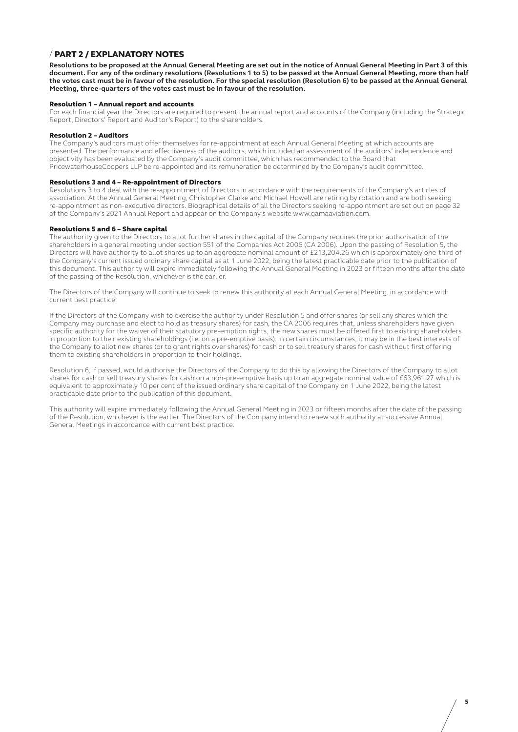### / PART 2 / EXPLANATORY NOTES

**Resolutions to be proposed at the Annual General Meeting are set out in the notice of Annual General Meeting in Part 3 of this document. For any of the ordinary resolutions (Resolutions 1 to 5) to be passed at the Annual General Meeting, more than half the votes cast must be in favour of the resolution. For the special resolution (Resolution 6) to be passed at the Annual General Meeting, three-quarters of the votes cast must be in favour of the resolution.**

#### Resolution 1 – Annual report and accounts

For each financial year the Directors are required to present the annual report and accounts of the Company (including the Strategic Report, Directors' Report and Auditor's Report) to the shareholders.

#### Resolution 2 – Auditors

The Company's auditors must offer themselves for re-appointment at each Annual General Meeting at which accounts are presented. The performance and effectiveness of the auditors, which included an assessment of the auditors' independence and objectivity has been evaluated by the Company's audit committee, which has recommended to the Board that PricewaterhouseCoopers LLP be re-appointed and its remuneration be determined by the Company's audit committee.

#### Resolutions 3 and 4 – Re-appointment of Directors

Resolutions 3 to 4 deal with the re-appointment of Directors in accordance with the requirements of the Company's articles of association. At the Annual General Meeting, Christopher Clarke and Michael Howell are retiring by rotation and are both seeking re-appointment as non-executive directors. Biographical details of all the Directors seeking re-appointment are set out on page 32 of the Company's 2021 Annual Report and appear on the Company's website www.gamaaviation.com.

#### Resolutions 5 and 6 – Share capital

The authority given to the Directors to allot further shares in the capital of the Company requires the prior authorisation of the shareholders in a general meeting under section 551 of the Companies Act 2006 (CA 2006). Upon the passing of Resolution 5, the Directors will have authority to allot shares up to an aggregate nominal amount of £213,204.26 which is approximately one-third of the Company's current issued ordinary share capital as at 1 June 2022, being the latest practicable date prior to the publication of this document. This authority will expire immediately following the Annual General Meeting in 2023 or fifteen months after the date of the passing of the Resolution, whichever is the earlier.

The Directors of the Company will continue to seek to renew this authority at each Annual General Meeting, in accordance with current best practice.

If the Directors of the Company wish to exercise the authority under Resolution 5 and offer shares (or sell any shares which the Company may purchase and elect to hold as treasury shares) for cash, the CA 2006 requires that, unless shareholders have given specific authority for the waiver of their statutory pre-emption rights, the new shares must be offered first to existing shareholders in proportion to their existing shareholdings (i.e. on a pre-emptive basis). In certain circumstances, it may be in the best interests of the Company to allot new shares (or to grant rights over shares) for cash or to sell treasury shares for cash without first offering them to existing shareholders in proportion to their holdings.

Resolution 6, if passed, would authorise the Directors of the Company to do this by allowing the Directors of the Company to allot shares for cash or sell treasury shares for cash on a non-pre-emptive basis up to an aggregate nominal value of £63,961.27 which is equivalent to approximately 10 per cent of the issued ordinary share capital of the Company on 1 June 2022, being the latest practicable date prior to the publication of this document.

This authority will expire immediately following the Annual General Meeting in 2023 or fifteen months after the date of the passing of the Resolution, whichever is the earlier. The Directors of the Company intend to renew such authority at successive Annual General Meetings in accordance with current best practice.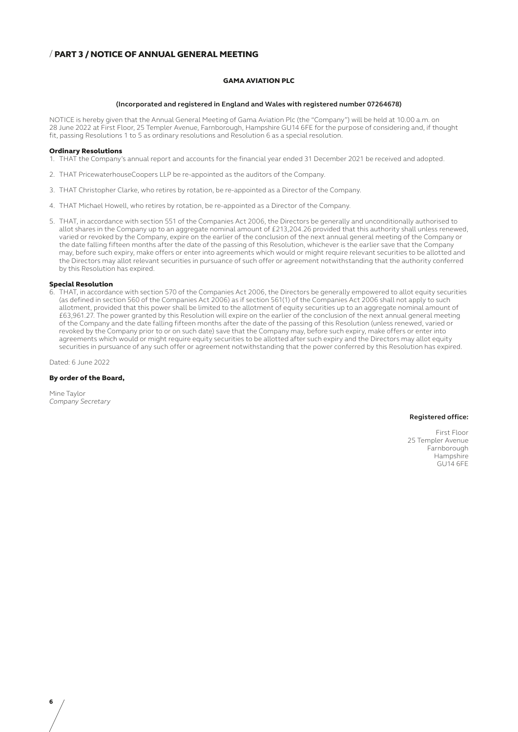# / PART 3 / NOTICE OF ANNUAL GENERAL MEETING

### GAMA AVIATION PLC

#### **(Incorporated and registered in England and Wales with registered number 07264678)**

NOTICE is hereby given that the Annual General Meeting of Gama Aviation Plc (the "Company") will be held at 10.00 a.m. on 28 June 2022 at First Floor, 25 Templer Avenue, Farnborough, Hampshire GU14 6FE for the purpose of considering and, if thought fit, passing Resolutions 1 to 5 as ordinary resolutions and Resolution 6 as a special resolution.

#### Ordinary Resolutions

1. THAT the Company's annual report and accounts for the financial year ended 31 December 2021 be received and adopted.

- 2. THAT PricewaterhouseCoopers LLP be re-appointed as the auditors of the Company.
- 3. THAT Christopher Clarke, who retires by rotation, be re-appointed as a Director of the Company.
- 4. THAT Michael Howell, who retires by rotation, be re-appointed as a Director of the Company.
- 5. THAT, in accordance with section 551 of the Companies Act 2006, the Directors be generally and unconditionally authorised to allot shares in the Company up to an aggregate nominal amount of £213,204.26 provided that this authority shall unless renewed, varied or revoked by the Company, expire on the earlier of the conclusion of the next annual general meeting of the Company or the date falling fifteen months after the date of the passing of this Resolution, whichever is the earlier save that the Company may, before such expiry, make offers or enter into agreements which would or might require relevant securities to be allotted and the Directors may allot relevant securities in pursuance of such offer or agreement notwithstanding that the authority conferred by this Resolution has expired.

#### Special Resolution

THAT, in accordance with section 570 of the Companies Act 2006, the Directors be generally empowered to allot equity securities (as defined in section 560 of the Companies Act 2006) as if section 561(1) of the Companies Act 2006 shall not apply to such allotment, provided that this power shall be limited to the allotment of equity securities up to an aggregate nominal amount of £63,961.27. The power granted by this Resolution will expire on the earlier of the conclusion of the next annual general meeting of the Company and the date falling fifteen months after the date of the passing of this Resolution (unless renewed, varied or revoked by the Company prior to or on such date) save that the Company may, before such expiry, make offers or enter into agreements which would or might require equity securities to be allotted after such expiry and the Directors may allot equity securities in pursuance of any such offer or agreement notwithstanding that the power conferred by this Resolution has expired.

Dated: 6 June 2022

### By order of the Board,

Mine Taylor *Company Secretary*

6

#### **Registered office:**

First Floor 25 Templer Avenue Farnborough Hampshire GU14 6FE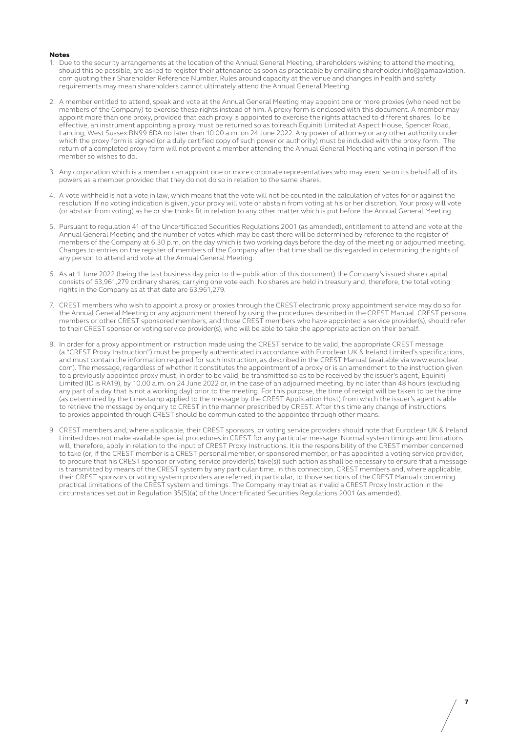#### Notes

- 1. Due to the security arrangements at the location of the Annual General Meeting, shareholders wishing to attend the meeting, should this be possible, are asked to register their attendance as soon as practicable by emailing shareholder.info@gamaaviation. com quoting their Shareholder Reference Number. Rules around capacity at the venue and changes in health and safety requirements may mean shareholders cannot ultimately attend the Annual General Meeting.
- 2. A member entitled to attend, speak and vote at the Annual General Meeting may appoint one or more proxies (who need not be members of the Company) to exercise these rights instead of him. A proxy form is enclosed with this document. A member may appoint more than one proxy, provided that each proxy is appointed to exercise the rights attached to different shares. To be effective, an instrument appointing a proxy must be returned so as to reach Equiniti Limited at Aspect House, Spencer Road, Lancing, West Sussex BN99 6DA no later than 10.00 a.m. on 24 June 2022. Any power of attorney or any other authority under which the proxy form is signed (or a duly certified copy of such power or authority) must be included with the proxy form. The return of a completed proxy form will not prevent a member attending the Annual General Meeting and voting in person if the member so wishes to do.
- 3. Any corporation which is a member can appoint one or more corporate representatives who may exercise on its behalf all of its powers as a member provided that they do not do so in relation to the same shares.
- 4. A vote withheld is not a vote in law, which means that the vote will not be counted in the calculation of votes for or against the resolution. If no voting indication is given, your proxy will vote or abstain from voting at his or her discretion. Your proxy will vote (or abstain from voting) as he or she thinks fit in relation to any other matter which is put before the Annual General Meeting.
- 5. Pursuant to regulation 41 of the Uncertificated Securities Regulations 2001 (as amended), entitlement to attend and vote at the Annual General Meeting and the number of votes which may be cast there will be determined by reference to the register of members of the Company at 6.30 p.m. on the day which is two working days before the day of the meeting or adjourned meeting. Changes to entries on the register of members of the Company after that time shall be disregarded in determining the rights of any person to attend and vote at the Annual General Meeting.
- 6. As at 1 June 2022 (being the last business day prior to the publication of this document) the Company's issued share capital consists of 63,961,279 ordinary shares, carrying one vote each. No shares are held in treasury and, therefore, the total voting rights in the Company as at that date are 63,961,279.
- 7. CREST members who wish to appoint a proxy or proxies through the CREST electronic proxy appointment service may do so for the Annual General Meeting or any adjournment thereof by using the procedures described in the CREST Manual. CREST personal members or other CREST sponsored members, and those CREST members who have appointed a service provider(s), should refer to their CREST sponsor or voting service provider(s), who will be able to take the appropriate action on their behalf.
- 8. In order for a proxy appointment or instruction made using the CREST service to be valid, the appropriate CREST message (a "CREST Proxy Instruction") must be properly authenticated in accordance with Euroclear UK & Ireland Limited's specifications, and must contain the information required for such instruction, as described in the CREST Manual (available via www.euroclear. com). The message, regardless of whether it constitutes the appointment of a proxy or is an amendment to the instruction given to a previously appointed proxy must, in order to be valid, be transmitted so as to be received by the issuer's agent, Equiniti Limited (ID is RA19), by 10.00 a.m. on 24 June 2022 or, in the case of an adjourned meeting, by no later than 48 hours (excluding any part of a day that is not a working day) prior to the meeting. For this purpose, the time of receipt will be taken to be the time (as determined by the timestamp applied to the message by the CREST Application Host) from which the issuer's agent is able to retrieve the message by enquiry to CREST in the manner prescribed by CREST. After this time any change of instructions to proxies appointed through CREST should be communicated to the appointee through other means.
- 9. CREST members and, where applicable, their CREST sponsors, or voting service providers should note that Euroclear UK & Ireland Limited does not make available special procedures in CREST for any particular message. Normal system timings and limitations will, therefore, apply in relation to the input of CREST Proxy Instructions. It is the responsibility of the CREST member concerned to take (or, if the CREST member is a CREST personal member, or sponsored member, or has appointed a voting service provider, to procure that his CREST sponsor or voting service provider(s) take(s)) such action as shall be necessary to ensure that a message is transmitted by means of the CREST system by any particular time. In this connection, CREST members and, where applicable, their CREST sponsors or voting system providers are referred, in particular, to those sections of the CREST Manual concerning practical limitations of the CREST system and timings. The Company may treat as invalid a CREST Proxy Instruction in the circumstances set out in Regulation 35(5)(a) of the Uncertificated Securities Regulations 2001 (as amended).